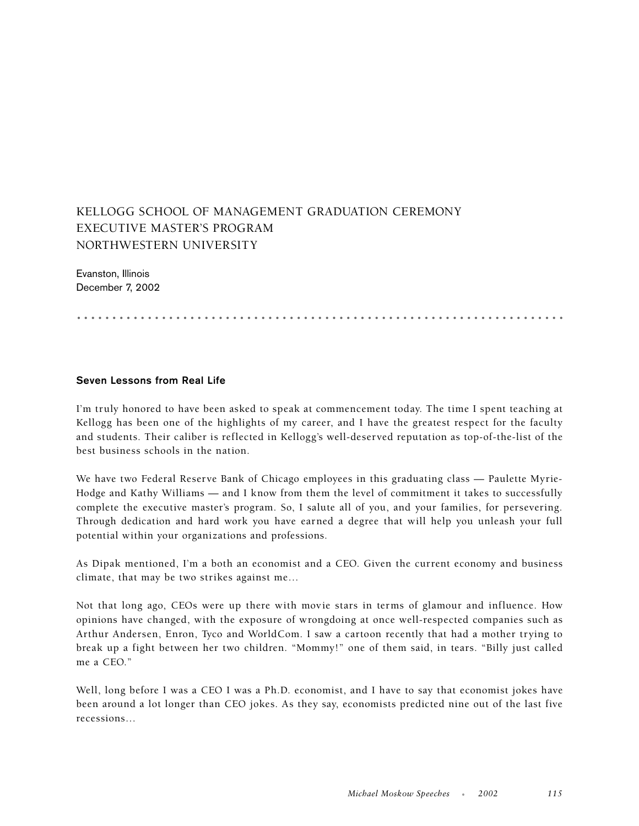# KELLOGG SCHOOL OF MANAGEMENT GRADUATION CEREMONY EXECUTIVE MASTER'S PROGRAM NORTHWESTERN UNIVERSITY

Evanston, Illinois December 7, 2002

.....................................................................

#### **Seven Lessons from Real Life**

I'm truly honored to have been asked to speak at commencement today. The time I spent teaching at Kellogg has been one of the highlights of my career, and I have the greatest respect for the faculty and students. Their caliber is reflected in Kellogg's well-deserved reputation as top-of-the-list of the best business schools in the nation.

We have two Federal Reserve Bank of Chicago employees in this graduating class — Paulette Myrie-Hodge and Kathy Williams — and I know from them the level of commitment it takes to successfully complete the executive master's program. So, I salute all of you, and your families, for persevering. Through dedication and hard work you have earned a degree that will help you unleash your full potential within your organizations and professions.

As Dipak mentioned, I'm a both an economist and a CEO. Given the current economy and business climate, that may be two strikes against me…

Not that long ago, CEOs were up there with movie stars in terms of glamour and influence. How opinions have changed, with the exposure of wrongdoing at once well-respected companies such as Arthur Andersen, Enron, Tyco and WorldCom. I saw a cartoon recently that had a mother trying to break up a fight between her two children. "Mommy!" one of them said, in tears. "Billy just called me a CEO."

Well, long before I was a CEO I was a Ph.D. economist, and I have to say that economist jokes have been around a lot longer than CEO jokes. As they say, economists predicted nine out of the last five recessions…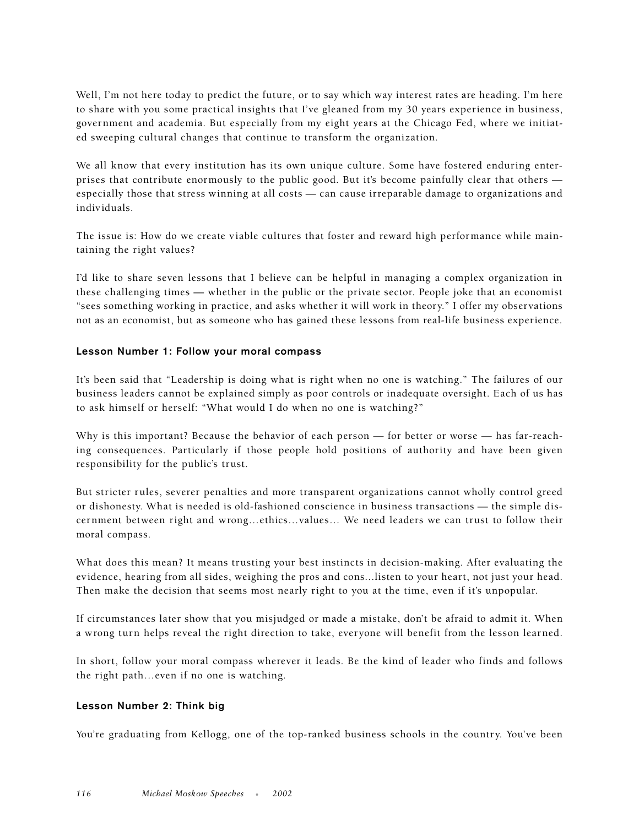Well, I'm not here today to predict the future, or to say which way interest rates are heading. I'm here to share with you some practical insights that I've gleaned from my 30 years experience in business, government and academia. But especially from my eight years at the Chicago Fed, where we initiated sweeping cultural changes that continue to transform the organization.

We all know that every institution has its own unique culture. Some have fostered enduring enterprises that contribute enormously to the public good. But it's become painfully clear that others especially those that stress winning at all costs — can cause irreparable damage to organizations and individuals.

The issue is: How do we create viable cultures that foster and reward high performance while maintaining the right values?

I'd like to share seven lessons that I believe can be helpful in managing a complex organization in these challenging times — whether in the public or the private sector. People joke that an economist "sees something working in practice, and asks whether it will work in theory." I offer my observations not as an economist, but as someone who has gained these lessons from real-life business experience.

# **Lesson Number 1: Follow your moral compass**

It's been said that "Leadership is doing what is right when no one is watching." The failures of our business leaders cannot be explained simply as poor controls or inadequate oversight. Each of us has to ask himself or herself: "What would I do when no one is watching?"

Why is this important? Because the behavior of each person — for better or worse — has far-reaching consequences. Particularly if those people hold positions of authority and have been given responsibility for the public's trust.

But stricter rules, severer penalties and more transparent organizations cannot wholly control greed or dishonesty. What is needed is old-fashioned conscience in business transactions — the simple discernment between right and wrong…ethics…values… We need leaders we can trust to follow their moral compass.

What does this mean? It means trusting your best instincts in decision-making. After evaluating the evidence, hearing from all sides, weighing the pros and cons...listen to your heart, not just your head. Then make the decision that seems most nearly right to you at the time, even if it's unpopular.

If circumstances later show that you misjudged or made a mistake, don't be afraid to admit it. When a wrong turn helps reveal the right direction to take, everyone will benefit from the lesson learned.

In short, follow your moral compass wherever it leads. Be the kind of leader who finds and follows the right path…even if no one is watching.

#### **Lesson Number 2: Think big**

You're graduating from Kellogg, one of the top-ranked business schools in the country. You've been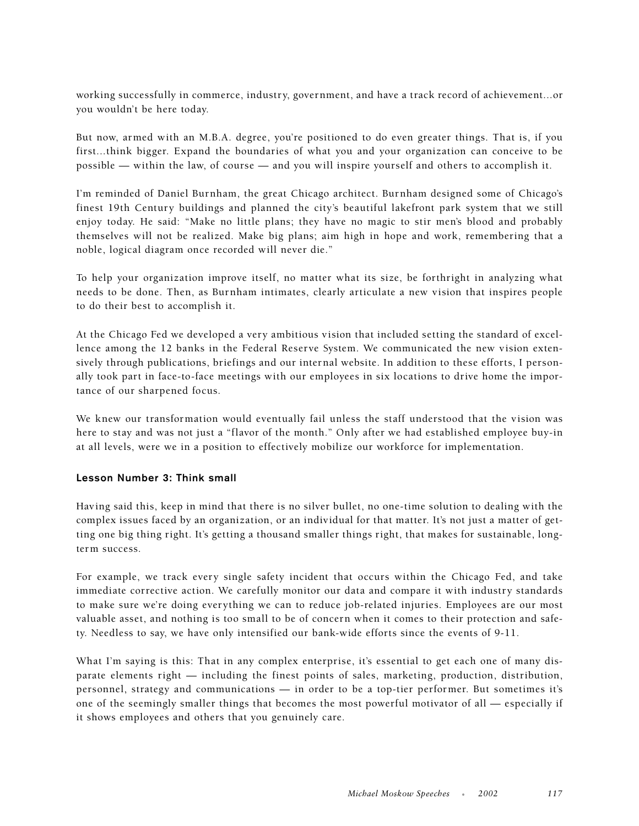working successfully in commerce, industry, government, and have a track record of achievement...or you wouldn't be here today.

But now, armed with an M.B.A. degree, you're positioned to do even greater things. That is, if you first...think bigger. Expand the boundaries of what you and your organization can conceive to be possible — within the law, of course — and you will inspire yourself and others to accomplish it.

I'm reminded of Daniel Burnham, the great Chicago architect. Burnham designed some of Chicago's finest 19th Century buildings and planned the city's beautiful lakefront park system that we still enjoy today. He said: "Make no little plans; they have no magic to stir men's blood and probably themselves will not be realized. Make big plans; aim high in hope and work, remembering that a noble, logical diagram once recorded will never die."

To help your organization improve itself, no matter what its size, be forthright in analyzing what needs to be done. Then, as Burnham intimates, clearly articulate a new vision that inspires people to do their best to accomplish it.

At the Chicago Fed we developed a very ambitious vision that included setting the standard of excellence among the 12 banks in the Federal Reserve System. We communicated the new vision extensively through publications, briefings and our internal website. In addition to these efforts, I personally took part in face-to-face meetings with our employees in six locations to drive home the importance of our sharpened focus.

We knew our transformation would eventually fail unless the staff understood that the vision was here to stay and was not just a "flavor of the month." Only after we had established employee buy-in at all levels, were we in a position to effectively mobilize our workforce for implementation.

### **Lesson Number 3: Think small**

Having said this, keep in mind that there is no silver bullet, no one-time solution to dealing with the complex issues faced by an organization, or an individual for that matter. It's not just a matter of getting one big thing right. It's getting a thousand smaller things right, that makes for sustainable, longterm success.

For example, we track every single safety incident that occurs within the Chicago Fed, and take immediate corrective action. We carefully monitor our data and compare it with industry standards to make sure we're doing everything we can to reduce job-related injuries. Employees are our most valuable asset, and nothing is too small to be of concern when it comes to their protection and safety. Needless to say, we have only intensified our bank-wide efforts since the events of 9-11.

What I'm saying is this: That in any complex enterprise, it's essential to get each one of many disparate elements right — including the finest points of sales, marketing, production, distribution, personnel, strategy and communications — in order to be a top-tier performer. But sometimes it's one of the seemingly smaller things that becomes the most powerful motivator of all — especially if it shows employees and others that you genuinely care.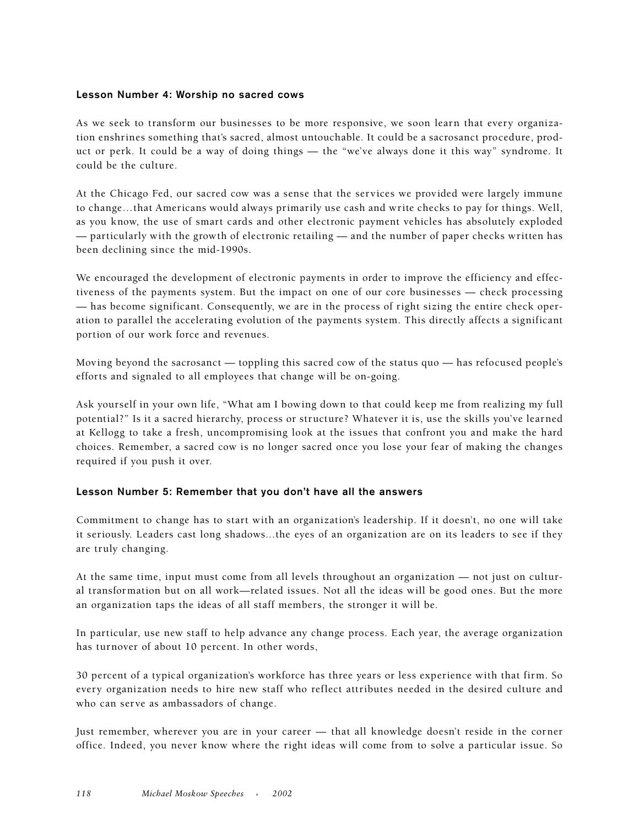### **Lesson Number 4: Worship no sacred cows**

As we seek to transform our businesses to be more responsive, we soon learn that every organization enshrines something that's sacred, almost untouchable. It could be a sacrosanct procedure, product or perk. It could be a way of doing things — the "we've always done it this way" syndrome. It could be the culture.

At the Chicago Fed, our sacred cow was a sense that the services we provided were largely immune to change…that Americans would always primarily use cash and write checks to pay for things. Well, as you know, the use of smart cards and other electronic payment vehicles has absolutely exploded — particularly with the growth of electronic retailing — and the number of paper checks written has been declining since the mid-1990s.

We encouraged the development of electronic payments in order to improve the efficiency and effectiveness of the payments system. But the impact on one of our core businesses — check processing — has become significant. Consequently, we are in the process of right sizing the entire check operation to parallel the accelerating evolution of the payments system. This directly affects a significant portion of our work force and revenues.

Moving beyond the sacrosanct — toppling this sacred cow of the status quo — has refocused people's efforts and signaled to all employees that change will be on-going.

Ask yourself in your own life, "What am I bowing down to that could keep me from realizing my full potential?" Is it a sacred hierarchy, process or structure? Whatever it is, use the skills you've learned at Kellogg to take a fresh, uncompromising look at the issues that confront you and make the hard choices. Remember, a sacred cow is no longer sacred once you lose your fear of making the changes required if you push it over.

#### **Lesson Number 5: Remember that you don't have all the answers**

Commitment to change has to start with an organization's leadership. If it doesn't, no one will take it seriously. Leaders cast long shadows...the eyes of an organization are on its leaders to see if they are truly changing.

At the same time, input must come from all levels throughout an organization — not just on cultural transformation but on all work—related issues. Not all the ideas will be good ones. But the more an organization taps the ideas of all staff members, the stronger it will be.

In particular, use new staff to help advance any change process. Each year, the average organization has turnover of about 10 percent. In other words,

30 percent of a typical organization's workforce has three years or less experience with that firm. So every organization needs to hire new staff who reflect attributes needed in the desired culture and who can serve as ambassadors of change.

Just remember, wherever you are in your career — that all knowledge doesn't reside in the corner office. Indeed, you never know where the right ideas will come from to solve a particular issue. So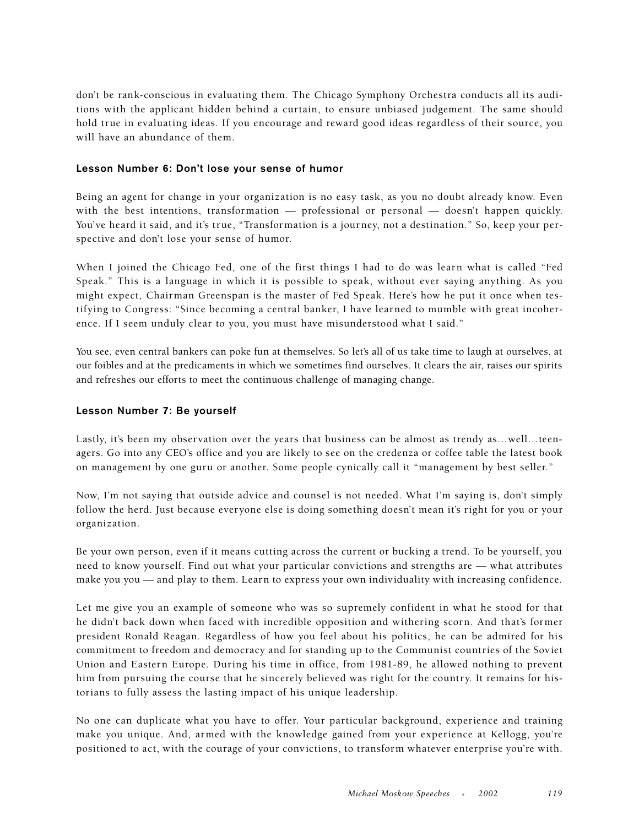don't be rank-conscious in evaluating them. The Chicago Symphony Orchestra conducts all its auditions with the applicant hidden behind a curtain, to ensure unbiased judgement. The same should hold true in evaluating ideas. If you encourage and reward good ideas regardless of their source, you will have an abundance of them.

## **Lesson Number 6: Don't lose your sense of humor**

Being an agent for change in your organization is no easy task, as you no doubt already know. Even with the best intentions, transformation — professional or personal — doesn't happen quickly. You've heard it said, and it's true, "Transformation is a journey, not a destination." So, keep your perspective and don't lose your sense of humor.

When I joined the Chicago Fed, one of the first things I had to do was learn what is called "Fed Speak." This is a language in which it is possible to speak, without ever saying anything. As you might expect, Chairman Greenspan is the master of Fed Speak. Here's how he put it once when testifying to Congress: "Since becoming a central banker, I have learned to mumble with great incoherence. If I seem unduly clear to you, you must have misunderstood what I said."

You see, even central bankers can poke fun at themselves. So let's all of us take time to laugh at ourselves, at our foibles and at the predicaments in which we sometimes find ourselves. It clears the air, raises our spirits and refreshes our efforts to meet the continuous challenge of managing change.

## **Lesson Number 7: Be yourself**

Lastly, it's been my observation over the years that business can be almost as trendy as…well…teenagers. Go into any CEO's office and you are likely to see on the credenza or coffee table the latest book on management by one guru or another. Some people cynically call it "management by best seller."

Now, I'm not saying that outside advice and counsel is not needed. What I'm saying is, don't simply follow the herd. Just because everyone else is doing something doesn't mean it's right for you or your organization.

Be your own person, even if it means cutting across the current or bucking a trend. To be yourself, you need to know yourself. Find out what your particular convictions and strengths are — what attributes make you you — and play to them. Learn to express your own individuality with increasing confidence.

Let me give you an example of someone who was so supremely confident in what he stood for that he didn't back down when faced with incredible opposition and withering scorn. And that's former president Ronald Reagan. Regardless of how you feel about his politics, he can be admired for his commitment to freedom and democracy and for standing up to the Communist countries of the Soviet Union and Eastern Europe. During his time in office, from 1981-89, he allowed nothing to prevent him from pursuing the course that he sincerely believed was right for the country. It remains for historians to fully assess the lasting impact of his unique leadership.

No one can duplicate what you have to offer. Your particular background, experience and training make you unique. And, armed with the knowledge gained from your experience at Kellogg, you're positioned to act, with the courage of your convictions, to transform whatever enterprise you're with.